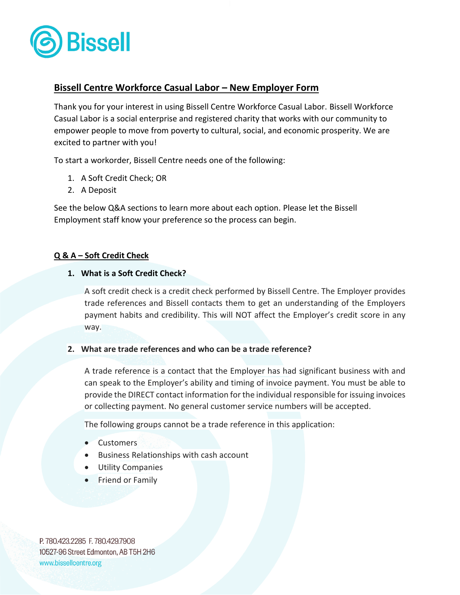

# **Bissell Centre Workforce Casual Labor – New Employer Form**

Thank you for your interest in using Bissell Centre Workforce Casual Labor. Bissell Workforce Casual Labor is a social enterprise and registered charity that works with our community to empower people to move from poverty to cultural, social, and economic prosperity. We are excited to partner with you!

To start a workorder, Bissell Centre needs one of the following:

- 1. A Soft Credit Check; OR
- 2. A Deposit

See the below Q&A sections to learn more about each option. Please let the Bissell Employment staff know your preference so the process can begin.

# **Q & A – Soft Credit Check**

## **1. What is a Soft Credit Check?**

A soft credit check is a credit check performed by Bissell Centre. The Employer provides trade references and Bissell contacts them to get an understanding of the Employers payment habits and credibility. This will NOT affect the Employer's credit score in any way.

# **2. What are trade references and who can be a trade reference?**

A trade reference is a contact that the Employer has had significant business with and can speak to the Employer's ability and timing of invoice payment. You must be able to provide the DIRECT contact information for the individual responsible for issuing invoices or collecting payment. No general customer service numbers will be accepted.

The following groups cannot be a trade reference in this application:

- Customers
- Business Relationships with cash account
- Utility Companies
- Friend or Family

P. 780.423.2285 F. 780.429.7908 10527-96 Street Edmonton, AB T5H 2H6 www.bissellcentre.org